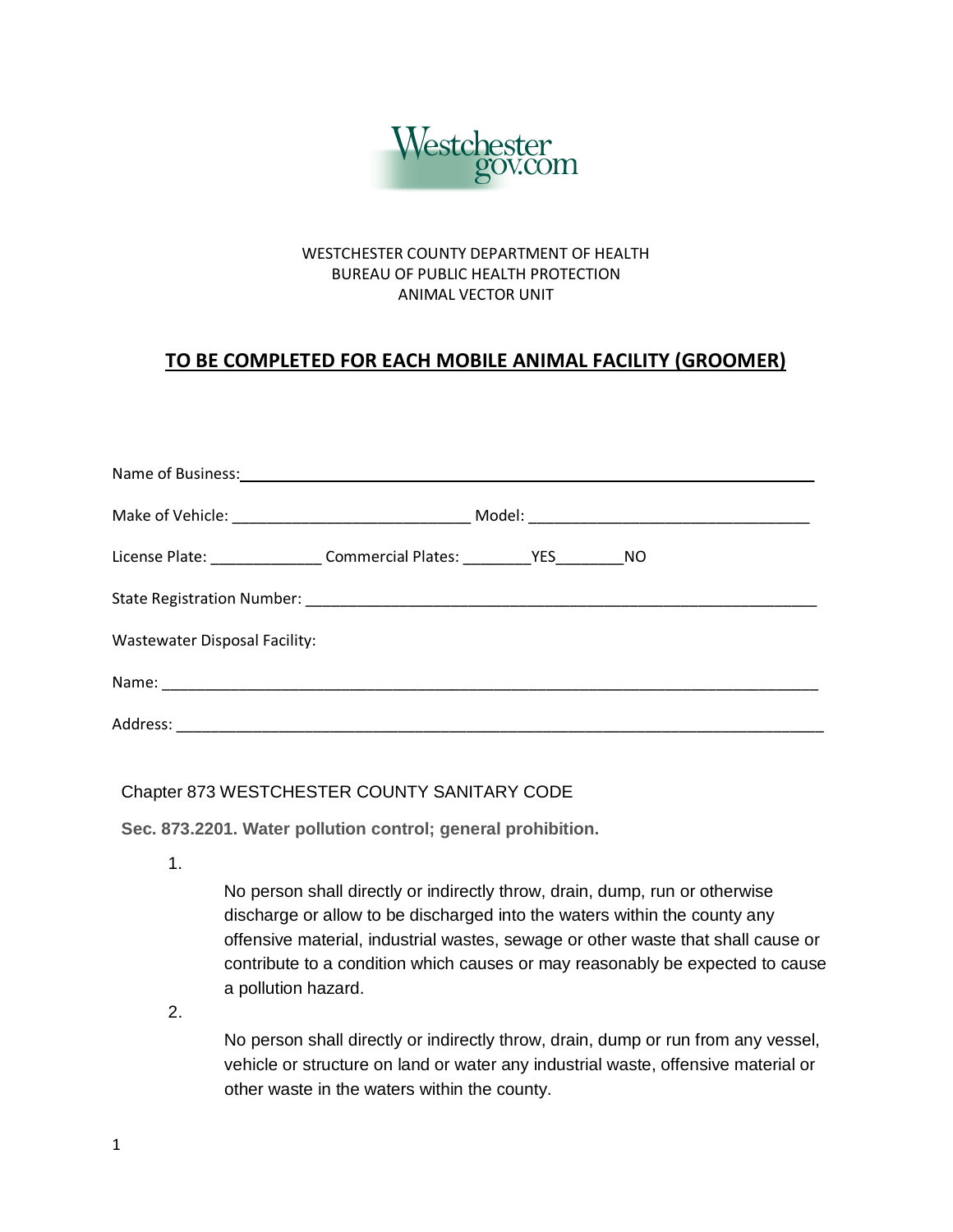

## WESTCHESTER COUNTY DEPARTMENT OF HEALTH BUREAU OF PUBLIC HEALTH PROTECTION ANIMAL VECTOR UNIT

## **TO BE COMPLETED FOR EACH MOBILE ANIMAL FACILITY (GROOMER)**

| License Plate: ___________________Commercial Plates: ____________________________ NO |  |  |  |
|--------------------------------------------------------------------------------------|--|--|--|
|                                                                                      |  |  |  |
| <b>Wastewater Disposal Facility:</b>                                                 |  |  |  |
|                                                                                      |  |  |  |
|                                                                                      |  |  |  |

## Chapter 873 WESTCHESTER COUNTY SANITARY CODE

**Sec. 873.2201. Water pollution control; general prohibition.**

1.

No person shall directly or indirectly throw, drain, dump, run or otherwise discharge or allow to be discharged into the waters within the county any offensive material, industrial wastes, sewage or other waste that shall cause or contribute to a condition which causes or may reasonably be expected to cause a pollution hazard.

2.

No person shall directly or indirectly throw, drain, dump or run from any vessel, vehicle or structure on land or water any industrial waste, offensive material or other waste in the waters within the county.